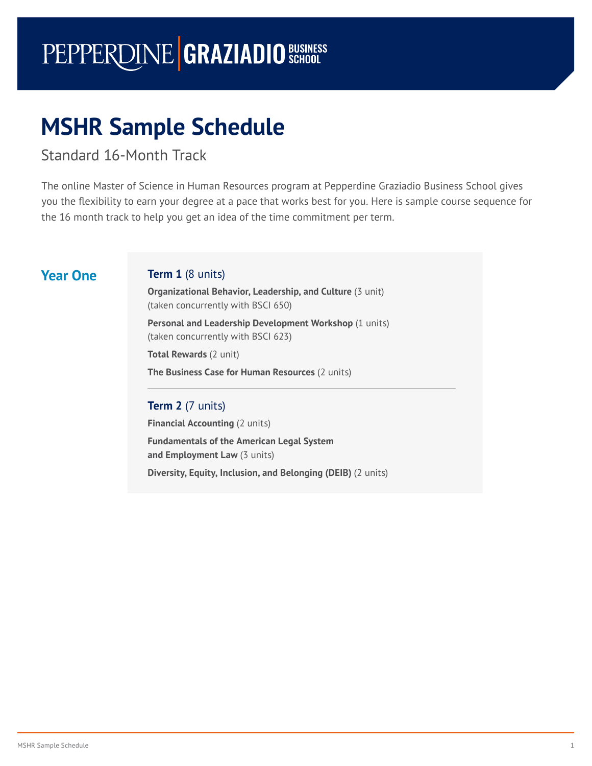# PEPPERDINE **GRAZIADIO** SCHOOL

## **MSHR Sample Schedule**

Standard 16-Month Track

The online Master of Science in Human Resources program at Pepperdine Graziadio Business School gives you the flexibility to earn your degree at a pace that works best for you. Here is sample course sequence for the 16 [month](#page-1-0) track to help you get an idea of the time commitment per term.

### **Year One Term 1** (8 units)

**Organizational Behavior, Leadership, and Culture** (3 unit) (taken concurrently with BSCI 650)

**Personal and Leadership Development Workshop** (1 units) (taken concurrently with BSCI 623)

**Total Rewards** (2 unit)

**The Business Case for Human Resources** (2 units)

#### **Term 2** (7 units)

**Financial Accounting (2 units)** 

**Fundamentals of the American Legal System and Employment Law** (3 units) **Diversity, Equity, Inclusion, and Belonging (DEIB)** (2 units)